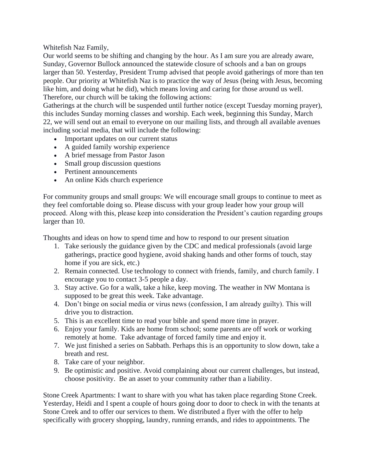Whitefish Naz Family,

Our world seems to be shifting and changing by the hour. As I am sure you are already aware, Sunday, Governor Bullock announced the statewide closure of schools and a ban on groups larger than 50. Yesterday, President Trump advised that people avoid gatherings of more than ten people. Our priority at Whitefish Naz is to practice the way of Jesus (being with Jesus, becoming like him, and doing what he did), which means loving and caring for those around us well. Therefore, our church will be taking the following actions:

Gatherings at the church will be suspended until further notice (except Tuesday morning prayer), this includes Sunday morning classes and worship. Each week, beginning this Sunday, March 22, we will send out an email to everyone on our mailing lists, and through all available avenues including social media, that will include the following:

- Important updates on our current status
- A guided family worship experience
- A brief message from Pastor Jason
- Small group discussion questions
- Pertinent announcements
- An online Kids church experience

For community groups and small groups: We will encourage small groups to continue to meet as they feel comfortable doing so. Please discuss with your group leader how your group will proceed. Along with this, please keep into consideration the President's caution regarding groups larger than 10.

Thoughts and ideas on how to spend time and how to respond to our present situation

- 1. Take seriously the guidance given by the CDC and medical professionals (avoid large gatherings, practice good hygiene, avoid shaking hands and other forms of touch, stay home if you are sick, etc.)
- 2. Remain connected. Use technology to connect with friends, family, and church family. I encourage you to contact 3-5 people a day.
- 3. Stay active. Go for a walk, take a hike, keep moving. The weather in NW Montana is supposed to be great this week. Take advantage.
- 4. Don't binge on social media or virus news (confession, I am already guilty). This will drive you to distraction.
- 5. This is an excellent time to read your bible and spend more time in prayer.
- 6. Enjoy your family. Kids are home from school; some parents are off work or working remotely at home. Take advantage of forced family time and enjoy it.
- 7. We just finished a series on Sabbath. Perhaps this is an opportunity to slow down, take a breath and rest.
- 8. Take care of your neighbor.
- 9. Be optimistic and positive. Avoid complaining about our current challenges, but instead, choose positivity. Be an asset to your community rather than a liability.

Stone Creek Apartments: I want to share with you what has taken place regarding Stone Creek. Yesterday, Heidi and I spent a couple of hours going door to door to check in with the tenants at Stone Creek and to offer our services to them. We distributed a flyer with the offer to help specifically with grocery shopping, laundry, running errands, and rides to appointments. The